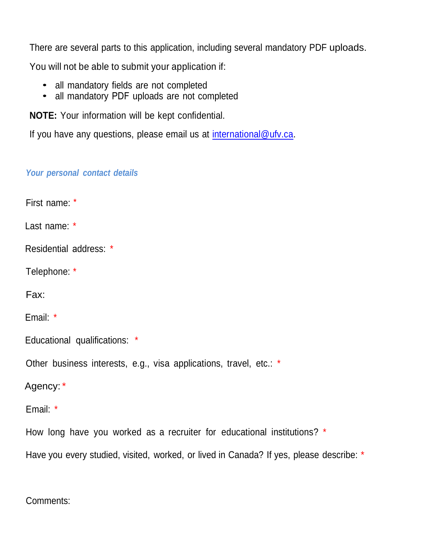There are several parts to this application, including several mandatory PDF uploads.

You will not be able to submit your application if:

- all mandatory fields are not completed
- all mandatory PDF uploads are not completed

**NOTE:** Your information will be kept confidential.

If you have any questions, please email us at [international@ufv.ca.](mailto:international@ufv.ca)

## *Your personal contact details*

First name: \*

Last name: \*

Residential address: \*

Telephone: \*

Fax:

Email: \*

Educational qualifications: \*

Other business interests, e.g., visa applications, travel, etc.: \*

Agency: \*

Email: \*

How long have you worked as a recruiter for educational institutions? \*

Have you every studied, visited, worked, or lived in Canada? If yes, please describe: \*

Comments: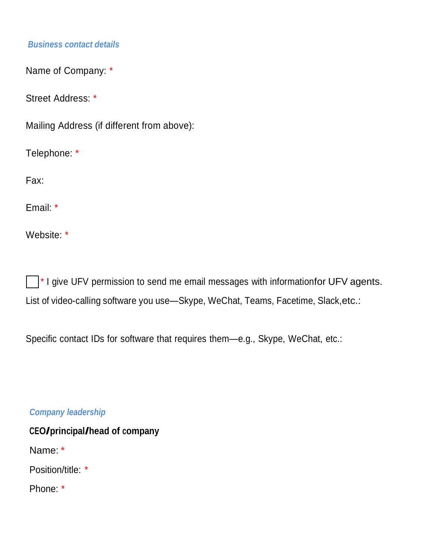## *Business contact details*

Name of Company: \*

Street Address: \*

Mailing Address (if different from above):

Telephone: \*

Fax:

Email: \*

Website: \*

 $\Box$ \* I give UFV permission to send me email messages with informationfor UFV agents. List of video-calling software you use-Skype, WeChat, Teams, Facetime, Slack, etc.:

Specific contact IDs for software that requires them—e.g., Skype, WeChat, etc.:

*Company leadership* 

**CEO/principal/head of company**  Name: \* Position/title: \* Phone: \*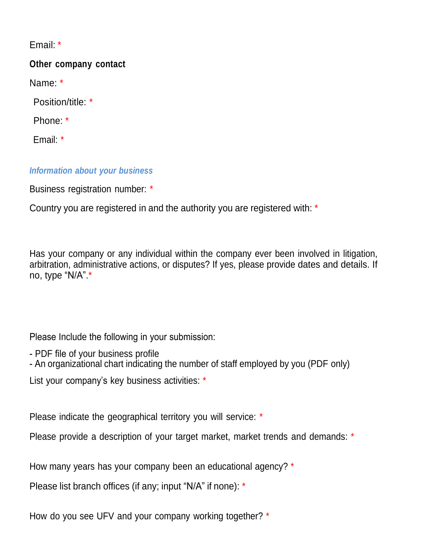Email: \*

# **Other company contact**

Name: \*

Position/title: \*

Phone: \*

Email: \*

# *Information about your business*

Business registration number: \*

Country you are registered in and the authority you are registered with: \*

Has your company or any individual within the company ever been involved in litigation, arbitration, administrative actions, or disputes? If yes, please provide dates and details. If no, type "N/A".\*

Please Include the following in your submission:

- PDF file of your business profile

- An organizational chart indicating the number of staff employed by you (PDF only)

List your company's key business activities: \*

Please indicate the geographical territory you will service: \*

Please provide a description of your target market, market trends and demands: \*

How many years has your company been an educational agency? \*

Please list branch offices (if any; input "N/A" if none): \*

How do you see UFV and your company working together? \*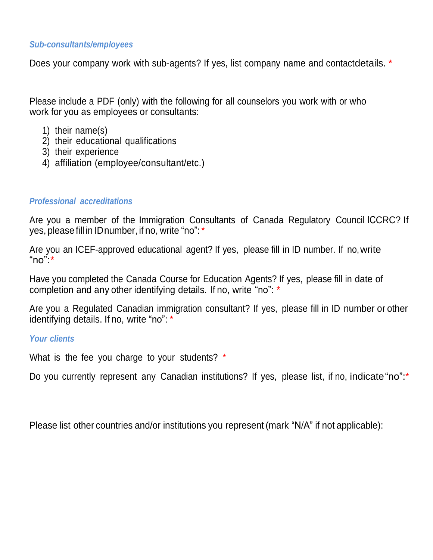#### *Sub-consultants/employees*

Does your company work with sub-agents? If yes, list company name and contactdetails. \*

Please include a PDF (only) with the following for all counselors you work with or who work for you as employees or consultants:

- 1) their name(s)
- 2) their educational qualifications
- 3) their experience
- 4) affiliation (employee/consultant/etc.)

#### *Professional accreditations*

Are you a member of the Immigration Consultants of Canada Regulatory Council ICCRC? If yes, please fill in IDnumber, if no, write "no":\*

Are you an ICEF-approved educational agent? If yes, please fill in ID number. If no, write "no": $*$ 

Have you completed the Canada Course for Education Agents? If yes, please fill in date of completion and any other identifying details. If no, write "no": \*

Are you a Regulated Canadian immigration consultant? If yes, please fill in ID number or other identifying details. If no, write "no": \*

### *Your clients*

What is the fee you charge to your students? \*

Do you currently represent any Canadian institutions? If yes, please list, if no, indicate "no":\*

Please list other countries and/or institutions you represent (mark "N/A" if not applicable):